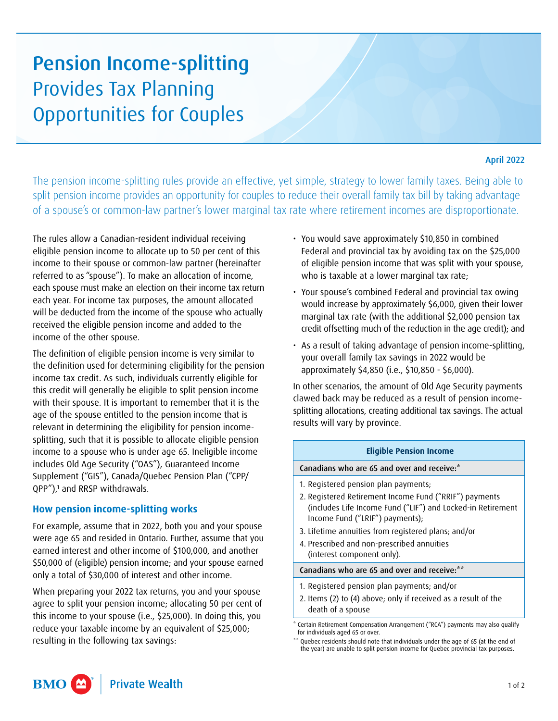# Pension Income-splitting Provides Tax Planning Opportunities for Couples

## April 2022

The pension income-splitting rules provide an effective, yet simple, strategy to lower family taxes. Being able to split pension income provides an opportunity for couples to reduce their overall family tax bill by taking advantage of a spouse's or common-law partner's lower marginal tax rate where retirement incomes are disproportionate.

The rules allow a Canadian-resident individual receiving eligible pension income to allocate up to 50 per cent of this income to their spouse or common-law partner (hereinafter referred to as "spouse"). To make an allocation of income, each spouse must make an election on their income tax return each year. For income tax purposes, the amount allocated will be deducted from the income of the spouse who actually received the eligible pension income and added to the income of the other spouse.

The definition of eligible pension income is very similar to the definition used for determining eligibility for the pension income tax credit. As such, individuals currently eligible for this credit will generally be eligible to split pension income with their spouse. It is important to remember that it is the age of the spouse entitled to the pension income that is relevant in determining the eligibility for pension incomesplitting, such that it is possible to allocate eligible pension income to a spouse who is under age 65. Ineligible income includes Old Age Security ("OAS"), Guaranteed Income Supplement ("GIS"), Canada/Quebec Pension Plan ("CPP/ QPP")[,1](#page-1-0) and RRSP withdrawals.

## **How pension income-splitting works**

For example, assume that in 2022, both you and your spouse were age 65 and resided in Ontario. Further, assume that you earned interest and other income of \$100,000, and another \$50,000 of (eligible) pension income; and your spouse earned only a total of \$30,000 of interest and other income.

When preparing your 2022 tax returns, you and your spouse agree to split your pension income; allocating 50 per cent of this income to your spouse (i.e., \$25,000). In doing this, you reduce your taxable income by an equivalent of \$25,000; resulting in the following tax savings:

- You would save approximately \$10,850 in combined Federal and provincial tax by avoiding tax on the \$25,000 of eligible pension income that was split with your spouse, who is taxable at a lower marginal tax rate;
- Your spouse's combined Federal and provincial tax owing would increase by approximately \$6,000, given their lower marginal tax rate (with the additional \$2,000 pension tax credit offsetting much of the reduction in the age credit); and
- As a result of taking advantage of pension income-splitting, your overall family tax savings in 2022 would be approximately \$4,850 (i.e., \$10,850 - \$6,000).

In other scenarios, the amount of Old Age Security payments clawed back may be reduced as a result of pension incomesplitting allocations, creating additional tax savings. The actual results will vary by province.

### **Eligible Pension Income**

Canadians who are 65 and over and receive[:\\*](#page-0-0)

- 1. Registered pension plan payments;
- 2. Registered Retirement Income Fund ("RRIF") payments (includes Life Income Fund ("LIF") and Locked-in Retirement Income Fund ("LRIF") payments);
- 3. Lifetime annuities from registered plans; and/or
- 4. Prescribed and non-prescribed annuities (interest component only).

#### Canadians who are 65 and over and receive[:\\*\\*](#page-0-1)

- 1. Registered pension plan payments; and/or
- 2. Items (2) to (4) above; only if received as a result of the death of a spouse

<span id="page-0-0"></span>Certain Retirement Compensation Arrangement ("RCA") payments may also qualify for individuals aged 65 or over.

<span id="page-0-1"></span><sup>\*\*</sup> Quebec residents should note that individuals under the age of 65 (at the end of the year) are unable to split pension income for Quebec provincial tax purposes.